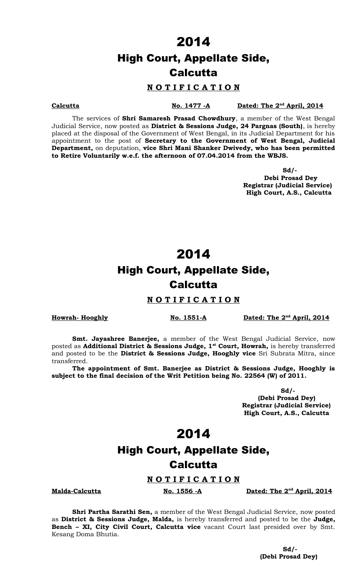### High Court, Appellate Side, **Calcutta**

### **N O T I F I C A T I O N**

**Calcutta No. 1477 -A Dated: The 2<sup>nd</sup> April, 2014** 

The services of **Shri Samaresh Prasad Chowdhury**, a member of the West Bengal Judicial Service, now posted as **District & Sessions Judge, 24 Pargnas (South)**, is hereby placed at the disposal of the Government of West Bengal, in its Judicial Department for his appointment to the post of **Secretary to the Government of West Bengal, Judicial Department,** on deputation, **vice Shri Mani Shanker Dwivedy, who has been permitted to Retire Voluntarily w.e.f. the afternoon of 07.04.2014 from the WBJS.**

> **Sd/- Debi Prosad Dey Registrar (Judicial Service) High Court, A.S., Calcutta**

### 2014

# High Court, Appellate Side, **Calcutta**

#### **N O T I F I C A T I O N**

**Howrah- Hooghly No. 1551-A** 

Dated: The 2<sup>nd</sup> April, 2014

**Smt. Jayashree Banerjee,** a member of the West Bengal Judicial Service, now posted as **Additional District & Sessions Judge, 1st Court, Howrah,** is hereby transferred and posted to be the **District & Sessions Judge, Hooghly vice** Sri Subrata Mitra, since transferred.

**The appointment of Smt. Banerjee as District & Sessions Judge, Hooghly is subject to the final decision of the Writ Petition being No. 22564 (W) of 2011.**

> **Sd/- (Debi Prosad Dey) Registrar (Judicial Service) High Court, A.S., Calcutta**

### 2014

### High Court, Appellate Side, **Calcutta**

**N O T I F I C A T I O N**

**Malda-Calcutta No. 1556 -A Dated: The 2nd April, 2014**

**Shri Partha Sarathi Sen,** a member of the West Bengal Judicial Service, now posted as **District & Sessions Judge, Malda,** is hereby transferred and posted to be the **Judge, Bench – XI, City Civil Court, Calcutta vice** vacant Court last presided over by Smt. Kesang Doma Bhutia.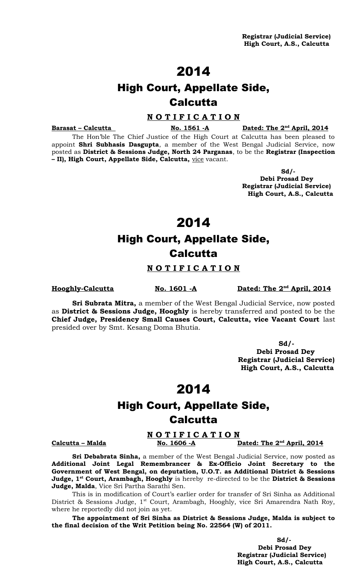# High Court, Appellate Side, **Calcutta**

#### **N O T I F I C A T I O N**

**Barasat – Calcutta** No. 1561 - A

Dated: The 2<sup>nd</sup> April, 2014

The Hon'ble The Chief Justice of the High Court at Calcutta has been pleased to appoint **Shri Subhasis Dasgupta**, a member of the West Bengal Judicial Service, now posted as **District & Sessions Judge, North 24 Parganas**, to be the **Registrar (Inspection – II), High Court, Appellate Side, Calcutta,** vice vacant.

> **Sd/- Debi Prosad Dey Registrar (Judicial Service) High Court, A.S., Calcutta**

> > 2014

# High Court, Appellate Side, Calcutta

### **N O T I F I C A T I O N**

**Hooghly-Calcutta No. 1601 -A** 

Dated: The 2<sup>nd</sup> April, 2014

**Sri Subrata Mitra,** a member of the West Bengal Judicial Service, now posted as **District & Sessions Judge, Hooghly** is hereby transferred and posted to be the **Chief Judge, Presidency Small Causes Court, Calcutta, vice Vacant Court** last presided over by Smt. Kesang Doma Bhutia.

> **Sd/- Debi Prosad Dey Registrar (Judicial Service) High Court, A.S., Calcutta**

## 2014

## High Court, Appellate Side, **Calcutta**

#### **N O T I F I C A T I O N** Dated: The 2<sup>nd</sup> April, 2014

**Calcutta – Malda No. 1606 -A** 

**Sri Debabrata Sinha,** a member of the West Bengal Judicial Service, now posted as **Additional Joint Legal Remembrancer & Ex-Officio Joint Secretary to the Government of West Bengal, on deputation, U.O.T. as Additional District & Sessions Judge, 1st Court, Arambagh, Hooghly** is hereby re-directed to be the **District & Sessions Judge, Malda**, Vice Sri Partha Sarathi Sen.

This is in modification of Court's earlier order for transfer of Sri Sinha as Additional District & Sessions Judge, 1<sup>st</sup> Court, Arambagh, Hooghly, vice Sri Amarendra Nath Roy, where he reportedly did not join as yet.

**The appointment of Sri Sinha as District & Sessions Judge, Malda is subject to the final decision of the Writ Petition being No. 22564 (W) of 2011.**

 **Sd/- Debi Prosad Dey Registrar (Judicial Service) High Court, A.S., Calcutta**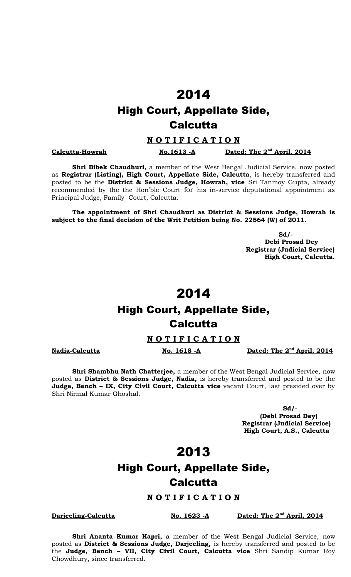# High Court, Appellate Side, **Calcutta**

#### **N O T I F I C A T I O N**

**Calcutta-Howrah No.1613 -A** 

Dated: The 2<sup>nd</sup> April, 2014

**Shri Bibek Chaudhuri,** a member of the West Bengal Judicial Service, now posted as **Registrar (Listing), High Court, Appellate Side, Calcutta**, is hereby transferred and posted to be the **District & Sessions Judge, Howrah, vice** Sri Tanmoy Gupta, already recommended by the the Hon'ble Court for his in-service deputational appointment as Principal Judge, Family Court, Calcutta.

**The appointment of Shri Chaudhuri as District & Sessions Judge, Howrah is subject to the final decision of the Writ Petition being No. 22564 (W) of 2011.**

> **Sd/- Debi Prosad Dey Registrar (Judicial Service) High Court, Calcutta.**

### 2014

### High Court, Appellate Side, **Calcutta**

#### **N O T I F I C A T I O N**

**Nadia-Calcutta No. 1618 -A Dated: The 2<sup>nd</sup> April, 2014** 

**Shri Shambhu Nath Chatterjee,** a member of the West Bengal Judicial Service, now posted as **District & Sessions Judge, Nadia,** is hereby transferred and posted to be the **Judge, Bench – IX, City Civil Court, Calcutta vice** vacant Court, last presided over by Shri Nirmal Kumar Ghoshal.

> **Sd/- (Debi Prosad Dey) Registrar (Judicial Service) High Court, A.S., Calcutta**

### 2013

# High Court, Appellate Side, **Calcutta**

#### **N O T I F I C A T I O N**

**Darjeeling-Calcutta No. 1623 -A** 

Dated: The 2<sup>nd</sup> April, 2014

**Shri Ananta Kumar Kapri,** a member of the West Bengal Judicial Service, now posted as **District & Sessions Judge, Darjeeling,** is hereby transferred and posted to be the **Judge, Bench – VII, City Civil Court, Calcutta vice** Shri Sandip Kumar Roy Chowdhury, since transferred.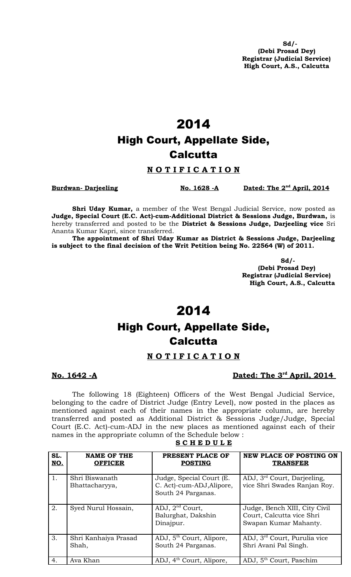**Sd/- (Debi Prosad Dey) Registrar (Judicial Service) High Court, A.S., Calcutta**

# 2014 High Court, Appellate Side, **Calcutta**

#### **N O T I F I C A T I O N**

**Burdwan-Darjeeling No. 1628 -A** 

Dated: The 2<sup>nd</sup> April, 2014

**Shri Uday Kumar,** a member of the West Bengal Judicial Service, now posted as **Judge, Special Court (E.C. Act)-cum-Additional District & Sessions Judge, Burdwan,** is hereby transferred and posted to be the **District & Sessions Judge, Darjeeling vice** Sri Ananta Kumar Kapri, since transferred.

**The appointment of Shri Uday Kumar as District & Sessions Judge, Darjeeling is subject to the final decision of the Writ Petition being No. 22564 (W) of 2011.**

> **Sd/- (Debi Prosad Dey) Registrar (Judicial Service) High Court, A.S., Calcutta**

### 2014

# High Court, Appellate Side, **Calcutta**

### **N O T I F I C A T I O N**

### **No. 1642 -A Dated: The 3<sup>rd</sup> April, 2014**

The following 18 (Eighteen) Officers of the West Bengal Judicial Service, belonging to the cadre of District Judge (Entry Level), now posted in the places as mentioned against each of their names in the appropriate column, are hereby transferred and posted as Additional District & Sessions Judge/Judge, Special Court (E.C. Act)-cum-ADJ in the new places as mentioned against each of their names in the appropriate column of the Schedule below :

| SL.<br>NO. | <b>NAME OF THE</b><br><b>OFFICER</b> | PRESENT PLACE OF<br><b>POSTING</b>                                          | <b>NEW PLACE OF POSTING ON</b><br><b>TRANSFER</b>                                   |
|------------|--------------------------------------|-----------------------------------------------------------------------------|-------------------------------------------------------------------------------------|
| 1.         | Shri Biswanath<br>Bhattacharyya,     | Judge, Special Court (E.<br>C. Act)-cum-ADJ, Alipore,<br>South 24 Parganas. | ADJ, 3 <sup>rd</sup> Court, Darjeeling,<br>vice Shri Swades Ranjan Roy.             |
| 2.         | Syed Nurul Hossain,                  | ADJ, $2nd$ Court,<br>Balurghat, Dakshin<br>Dinajpur.                        | Judge, Bench XIII, City Civil<br>Court, Calcutta vice Shri<br>Swapan Kumar Mahanty. |
| 3.         | Shri Kanhaiya Prasad<br>Shah,        | ADJ, 5 <sup>th</sup> Court, Alipore,<br>South 24 Parganas.                  | ADJ, 3 <sup>rd</sup> Court, Purulia vice<br>Shri Avani Pal Singh.                   |
| 4.         | Ava Khan                             | ADJ, 4 <sup>th</sup> Court, Alipore,                                        | ADJ, 5 <sup>th</sup> Court, Paschim                                                 |

**S C H E D U L E**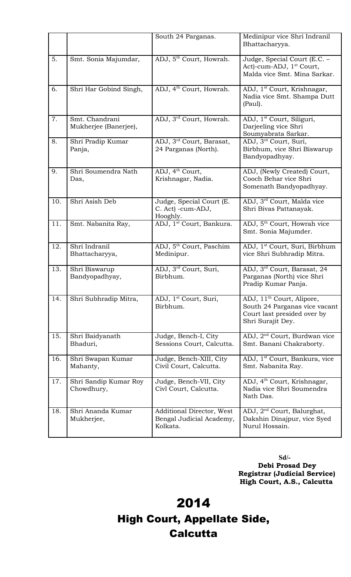|     |                                         | South 24 Parganas.                                                | Medinipur vice Shri Indranil<br>Bhattacharyya.                                                                             |
|-----|-----------------------------------------|-------------------------------------------------------------------|----------------------------------------------------------------------------------------------------------------------------|
| 5.  | Smt. Sonia Majumdar,                    | ADJ, 5 <sup>th</sup> Court, Howrah.                               | Judge, Special Court (E.C. -<br>Act)-cum-ADJ, 1 <sup>st</sup> Court,<br>Malda vice Smt. Mina Sarkar.                       |
| 6.  | Shri Har Gobind Singh,                  | ADJ, 4 <sup>th</sup> Court, Howrah.                               | ADJ, 1 <sup>st</sup> Court, Krishnagar,<br>Nadia vice Smt. Shampa Dutt<br>(Paul).                                          |
| 7.  | Smt. Chandrani<br>Mukherjee (Banerjee), | ADJ, 3 <sup>rd</sup> Court, Howrah.                               | ADJ, 1 <sup>st</sup> Court, Siliguri,<br>Darjeeling vice Shri<br>Soumyabrata Sarkar.                                       |
| 8.  | Shri Pradip Kumar<br>Panja,             | ADJ, 3 <sup>rd</sup> Court, Barasat,<br>24 Parganas (North).      | ADJ, 3 <sup>rd</sup> Court, Suri,<br>Birbhum, vice Shri Biswarup<br>Bandyopadhyay.                                         |
| 9.  | Shri Soumendra Nath<br>Das,             | ADJ, 4 <sup>th</sup> Court,<br>Krishnagar, Nadia.                 | ADJ, (Newly Created) Court,<br>Cooch Behar vice Shri<br>Somenath Bandyopadhyay.                                            |
| 10. | Shri Asish Deb                          | Judge, Special Court (E.<br>C. Act) -cum-ADJ,<br>Hooghly.         | ADJ, 3rd Court, Malda vice<br>Shri Bivas Pattanayak.                                                                       |
| 11. | Smt. Nabanita Ray,                      | ADJ, 1 <sup>st</sup> Court, Bankura.                              | ADJ, 5 <sup>th</sup> Court, Howrah vice<br>Smt. Sonia Majumder.                                                            |
| 12. | Shri Indranil<br>Bhattacharyya,         | ADJ, 5 <sup>th</sup> Court, Paschim<br>Medinipur.                 | ADJ, 1 <sup>st</sup> Court, Suri, Birbhum<br>vice Shri Subhradip Mitra.                                                    |
| 13. | Shri Biswarup<br>Bandyopadhyay,         | ADJ, 3rd Court, Suri,<br>Birbhum.                                 | ADJ, 3rd Court, Barasat, 24<br>Parganas (North) vice Shri<br>Pradip Kumar Panja.                                           |
| 14. | Shri Subhradip Mitra,                   | ADJ, 1 <sup>st</sup> Court, Suri,<br>Birbhum.                     | ADJ, 11 <sup>th</sup> Court, Alipore,<br>South 24 Parganas vice vacant<br>Court last presided over by<br>Shri Surajit Dey. |
| 15. | Shri Baidyanath<br>Bhaduri,             | Judge, Bench-I, City<br>Sessions Court, Calcutta.                 | ADJ, 2 <sup>nd</sup> Court, Burdwan vice<br>Smt. Banani Chakraborty.                                                       |
| 16. | Shri Swapan Kumar<br>Mahanty,           | Judge, Bench-XIII, City<br>Civil Court, Calcutta.                 | ADJ, 1 <sup>st</sup> Court, Bankura, vice<br>Smt. Nabanita Ray.                                                            |
| 17. | Shri Sandip Kumar Roy<br>Chowdhury,     | Judge, Bench-VII, City<br>Civl Court, Calcutta.                   | ADJ, 4 <sup>th</sup> Court, Krishnagar,<br>Nadia vice Shri Soumendra<br>Nath Das.                                          |
| 18. | Shri Ananda Kumar<br>Mukherjee,         | Additional Director, West<br>Bengal Judicial Academy,<br>Kolkata. | ADJ, 2 <sup>nd</sup> Court, Balurghat,<br>Dakshin Dinajpur, vice Syed<br>Nurul Hossain.                                    |

**Sd/- Debi Prosad Dey Registrar (Judicial Service) High Court, A.S., Calcutta**

2014 High Court, Appellate Side, **Calcutta**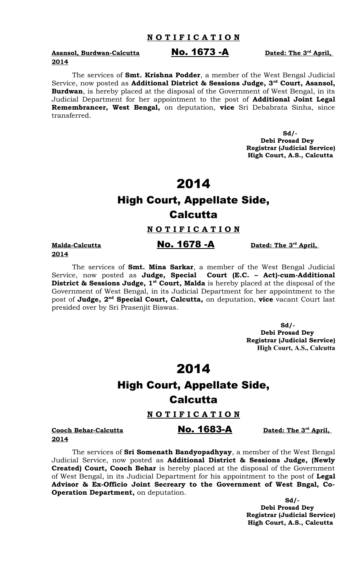**Asansol, Burdwan-Calcutta No. 1673 -A 2014**

The services of **Smt. Krishna Podder**, a member of the West Bengal Judicial Service, now posted as **Additional District & Sessions Judge, 3rd Court, Asansol, Burdwan**, is hereby placed at the disposal of the Government of West Bengal, in its Judicial Department for her appointment to the post of **Additional Joint Legal Remembrancer, West Bengal,** on deputation, **vice** Sri Debabrata Sinha, since transferred.

> **Debi Prosad Dey Registrar (Judicial Service) High Court, A.S., Calcutta**

### 2014

### High Court, Appellate Side, **Calcutta**

#### **N O T I F I C A T I O N**

**Malda-Calcutta No. 1678 -A 2014**

The services of **Smt. Mina Sarkar**, a member of the West Bengal Judicial Service, now posted as **Judge, Special Court (E.C. – Act)-cum-Additional District & Sessions Judge, 1st Court, Malda** is hereby placed at the disposal of the Government of West Bengal, in its Judicial Department for her appointment to the post of **Judge, 2nd Special Court, Calcutta,** on deputation, **vice** vacant Court last presided over by Sri Prasenjit Biswas.

> **Sd/- Debi Prosad Dey Registrar (Judicial Service) High Court, A.S., Calcutta**

### 2014

# High Court, Appellate Side, **Calcutta**

#### **N O T I F I C A T I O N**

**Cooch Behar-Calcutta No. 1683-A** 

The services of **Sri Somenath Bandyopadhyay**, a member of the West Bengal Judicial Service, now posted as **Additional District & Sessions Judge, (Newly Created) Court, Cooch Behar** is hereby placed at the disposal of the Government of West Bengal, in its Judicial Department for his appointment to the post of **Legal Advisor & Ex-Officio Joint Secreary to the Government of West Bngal, Co-Operation Department,** on deputation.

> **Sd/- Debi Prosad Dey Registrar (Judicial Service) High Court, A.S., Calcutta**

#### **2014**

Dated: The 3<sup>rd</sup> April,

 **Sd/-**

Dated: The 3<sup>rd</sup> April,

#### Dated: The 3<sup>rd</sup> April,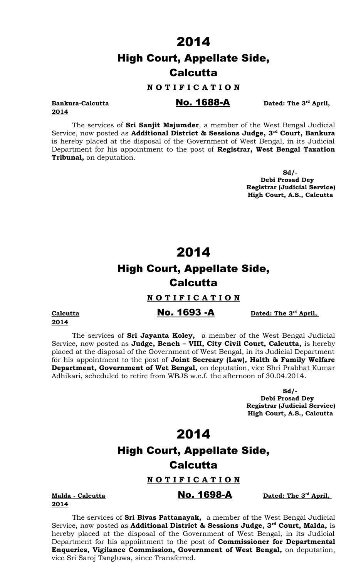### High Court, Appellate Side, **Calcutta**

#### **N O T I F I C A T I O N**

### **Bankura-Calcutta No. 1688-A**

Dated: The 3<sup>rd</sup> April,

# **2014**

The services of **Sri Sanjit Majumder**, a member of the West Bengal Judicial Service, now posted as **Additional District & Sessions Judge, 3rd Court, Bankura** is hereby placed at the disposal of the Government of West Bengal, in its Judicial Department for his appointment to the post of **Registrar, West Bengal Taxation Tribunal,** on deputation.

> **Sd/- Debi Prosad Dey Registrar (Judicial Service) High Court, A.S., Calcutta**

### 2014

# High Court, Appellate Side, **Calcutta**

#### **N O T I F I C A T I O N**

**2014**

#### **Calcutta No. 1693 -A**

Dated: The 3<sup>rd</sup> April,

The services of **Sri Jayanta Koley,** a member of the West Bengal Judicial Service, now posted as **Judge, Bench – VIII, City Civil Court, Calcutta,** is hereby placed at the disposal of the Government of West Bengal, in its Judicial Department for his appointment to the post of **Joint Secreary (Law), Halth & Family Welfare Department, Government of Wet Bengal,** on deputation, vice Shri Prabhat Kumar Adhikari, scheduled to retire from WBJS w.e.f. the afternoon of 30.04.2014.

> **Sd/- Debi Prosad Dey Registrar (Judicial Service) High Court, A.S., Calcutta**

> > Dated: The 3<sup>rd</sup> April,

### 2014

### High Court, Appellate Side, **Calcutta**

**N O T I F I C A T I O N**

**Malda - Calcutta No. 1698-A 2014**

The services of **Sri Bivas Pattanayak,** a member of the West Bengal Judicial Service, now posted as **Additional District & Sessions Judge, 3rd Court, Malda,** is hereby placed at the disposal of the Government of West Bengal, in its Judicial Department for his appointment to the post of **Commissioner for Departmental Enqueries, Vigilance Commission, Government of West Bengal,** on deputation, vice Sri Saroj Tangluwa, since Transferred.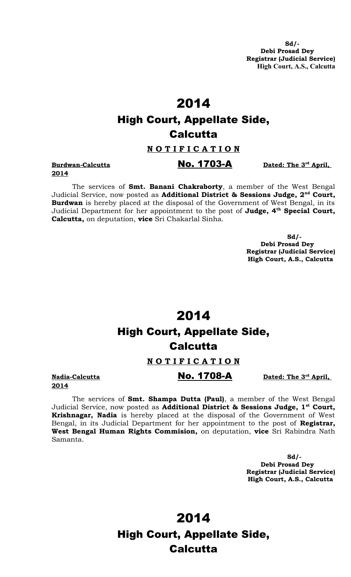**Sd/- Debi Prosad Dey Registrar (Judicial Service) High Court, A.S., Calcutta**

# 2014 High Court, Appellate Side, **Calcutta**

#### **N O T I F I C A T I O N**

# **2014**

#### The services of **Smt. Banani Chakraborty**, a member of the West Bengal Judicial Service, now posted as **Additional District & Sessions Judge, 2nd Court, Burdwan** is hereby placed at the disposal of the Government of West Bengal, in its Judicial Department for her appointment to the post of **Judge, 4th Special Court, Calcutta,** on deputation, **vice** Sri Chakarlal Sinha.

 **Sd/- Debi Prosad Dey Registrar (Judicial Service) High Court, A.S., Calcutta**

# 2014 High Court, Appellate Side, **Calcutta**

### **N O T I F I C A T I O N**

**2014**

The services of **Smt. Shampa Dutta (Paul)**, a member of the West Bengal Judicial Service, now posted as **Additional District & Sessions Judge, 1st Court, Krishnagar, Nadia** is hereby placed at the disposal of the Government of West Bengal, in its Judicial Department for her appointment to the post of **Registrar, West Bengal Human Rights Commision,** on deputation, **vice** Sri Rabindra Nath Samanta.

> **Sd/- Debi Prosad Dey Registrar (Judicial Service) High Court, A.S., Calcutta**

2014 High Court, Appellate Side, Calcutta

**No. 1708-A Date 3***rd* 

Dated: The 3<sup>rd</sup> April,

**Burdwan-Calcutta No. 1703-A** 

Dated: The 3<sup>rd</sup> April,